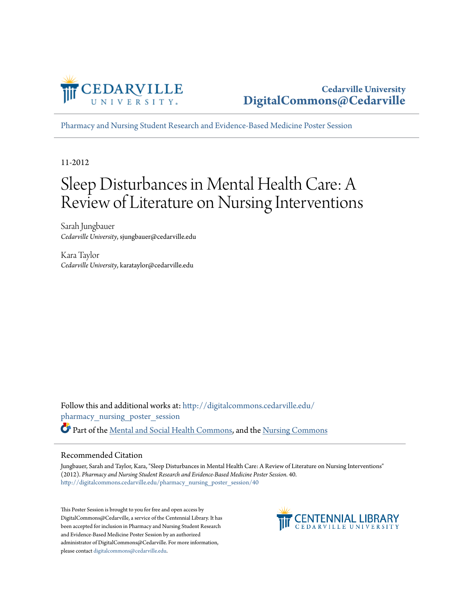

[Pharmacy and Nursing Student Research and Evidence-Based Medicine Poster Session](http://digitalcommons.cedarville.edu/pharmacy_nursing_poster_session?utm_source=digitalcommons.cedarville.edu%2Fpharmacy_nursing_poster_session%2F40&utm_medium=PDF&utm_campaign=PDFCoverPages)

11-2012

#### Sleep Disturbances in Mental Health Care: A Review of Literature on Nursing Interventions

Sarah Jungbauer *Cedarville University*, sjungbauer@cedarville.edu

Kara Taylor *Cedarville University*, karataylor@cedarville.edu

Follow this and additional works at: [http://digitalcommons.cedarville.edu/](http://digitalcommons.cedarville.edu/pharmacy_nursing_poster_session?utm_source=digitalcommons.cedarville.edu%2Fpharmacy_nursing_poster_session%2F40&utm_medium=PDF&utm_campaign=PDFCoverPages) [pharmacy\\_nursing\\_poster\\_session](http://digitalcommons.cedarville.edu/pharmacy_nursing_poster_session?utm_source=digitalcommons.cedarville.edu%2Fpharmacy_nursing_poster_session%2F40&utm_medium=PDF&utm_campaign=PDFCoverPages) Part of the [Mental and Social Health Commons](http://network.bepress.com/hgg/discipline/709?utm_source=digitalcommons.cedarville.edu%2Fpharmacy_nursing_poster_session%2F40&utm_medium=PDF&utm_campaign=PDFCoverPages), and the [Nursing Commons](http://network.bepress.com/hgg/discipline/718?utm_source=digitalcommons.cedarville.edu%2Fpharmacy_nursing_poster_session%2F40&utm_medium=PDF&utm_campaign=PDFCoverPages)

#### Recommended Citation

Jungbauer, Sarah and Taylor, Kara, "Sleep Disturbances in Mental Health Care: A Review of Literature on Nursing Interventions" (2012). *Pharmacy and Nursing Student Research and Evidence-Based Medicine Poster Session*. 40. [http://digitalcommons.cedarville.edu/pharmacy\\_nursing\\_poster\\_session/40](http://digitalcommons.cedarville.edu/pharmacy_nursing_poster_session/40?utm_source=digitalcommons.cedarville.edu%2Fpharmacy_nursing_poster_session%2F40&utm_medium=PDF&utm_campaign=PDFCoverPages)

This Poster Session is brought to you for free and open access by DigitalCommons@Cedarville, a service of the Centennial Library. It has been accepted for inclusion in Pharmacy and Nursing Student Research and Evidence-Based Medicine Poster Session by an authorized administrator of DigitalCommons@Cedarville. For more information, please contact [digitalcommons@cedarville.edu.](mailto:digitalcommons@cedarville.edu)